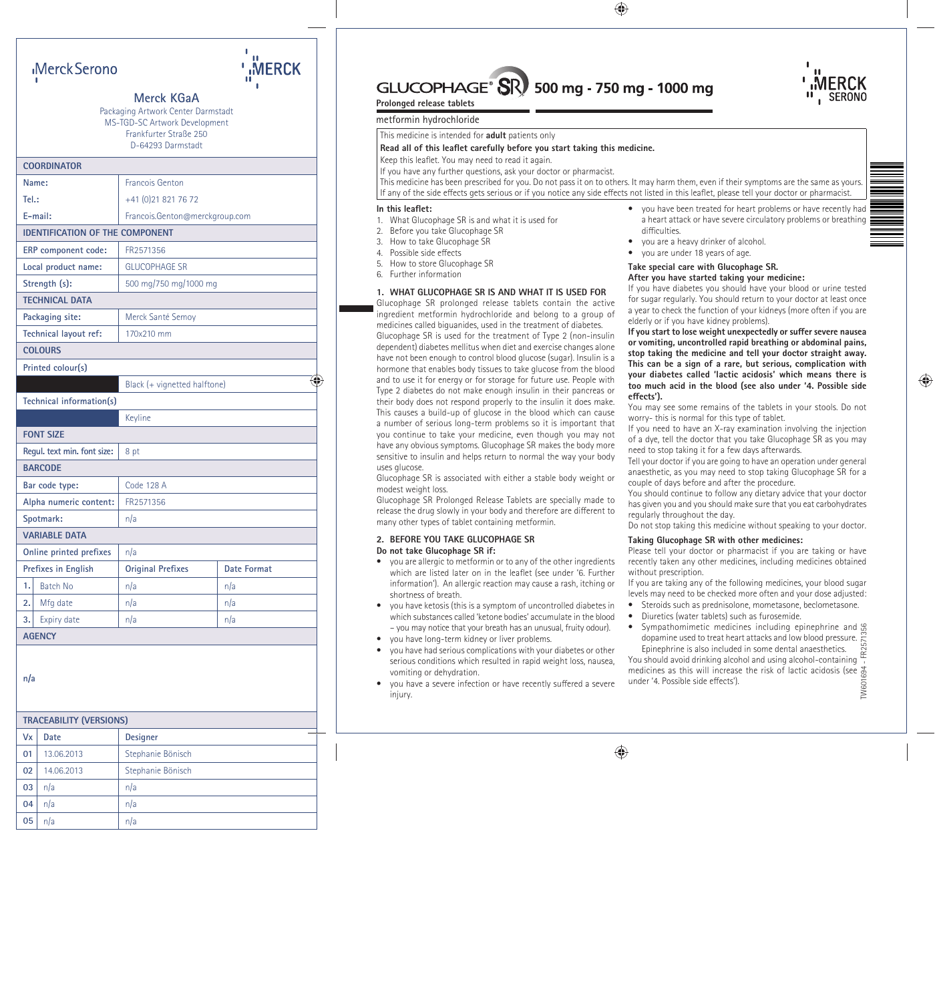# $GLUCOPHAGE^{\circ}$  500 mg - 750 mg - 1000 mg



# **Prolonged release tablets**

# metformin hydrochloride

This medicine is intended for **adult** patients only

#### Read all of this leaflet carefully before you start taking this medicine.

Keep this leaflet. You may need to read it again.

If you have any further questions, ask your doctor or pharmacist.

This medicine has been prescribed for you. Do not pass it on to others. It may harm them, even if their symptoms are the same as yours. If any of the side effects gets serious or if you notice any side effects not listed in this leaflet, please tell your doctor or pharmacist.

#### In this leaflet<sup>\*</sup>

- 1. What Glucophage SR is and what it is used for
- 2. Before you take Glucophage SR
- 3. How to take Glucophage SR
- 4. Possible side effects
- 5. How to store Glucophage SR
- 6. Further information

# **1. WHAT GLUCOPHAGE SR IS AND WHAT IT IS USED FOR**

Glucophage SR prolonged release tablets contain the active ingredient metformin hydrochloride and belong to a group of medicines called biguanides, used in the treatment of diabetes.

Glucophage SR is used for the treatment of Type 2 (non-insulin dependent) diabetes mellitus when diet and exercise changes alone have not been enough to control blood glucose (sugar). Insulin is a hormone that enables body tissues to take glucose from the blood and to use it for energy or for storage for future use. People with Type 2 diabetes do not make enough insulin in their pancreas or their body does not respond properly to the insulin it does make. This causes a build-up of glucose in the blood which can cause a number of serious long-term problems so it is important that you continue to take your medicine, even though you may not have any obvious symptoms. Glucophage SR makes the body more sensitive to insulin and helps return to normal the way your body uses glucose.

Glucophage SR is associated with either a stable body weight or modest weight loss.

Glucophage SR Prolonged Release Tablets are specially made to release the drug slowly in your body and therefore are different to many other types of tablet containing metformin.

# **2. BEFORE YOU TAKE GLUCOPHAGE SR**

# **Do not take Glucophage SR if:**

- you are allergic to metformin or to any of the other ingredients which are listed later on in the leaflet (see under '6. Further information'). An allergic reaction may cause a rash, itching or shortness of breath.
- you have ketosis (this is a symptom of uncontrolled diabetes in which substances called 'ketone bodies' accumulate in the blood – you may notice that your breath has an unusual, fruity odour).
- you have long-term kidney or liver problems.
- you have had serious complications with your diabetes or other serious conditions which resulted in rapid weight loss, nausea, vomiting or dehydration.
- you have a severe infection or have recently suffered a severe injury.
- you have been treated for heart problems or have recently had a heart attack or have severe circulatory problems or breathing difficulties.
- you are a heavy drinker of alcohol.
- you are under 18 years of age.

# **Take special care with Glucophage SR. After you have started taking your medicine:**

If you have diabetes you should have your blood or urine tested for sugar regularly. You should return to your doctor at least once a year to check the function of your kidneys (more often if you are elderly or if you have kidney problems).

**If you start to lose weight unexpectedly or suffer severe nausea or vomiting, uncontrolled rapid breathing or abdominal pains, stop taking the medicine and tell your doctor straight away. This can be a sign of a rare, but serious, complication with your diabetes called 'lactic acidosis' which means there is too much acid in the blood (see also under '4. Possible side eff ects').** 

You may see some remains of the tablets in your stools. Do not worry- this is normal for this type of tablet.

If you need to have an X-ray examination involving the injection of a dye, tell the doctor that you take Glucophage SR as you may need to stop taking it for a few days afterwards.

Tell your doctor if you are going to have an operation under general anaesthetic, as you may need to stop taking Glucophage SR for a couple of days before and after the procedure.

You should continue to follow any dietary advice that your doctor has given you and you should make sure that you eat carbohydrates regularly throughout the day.

Do not stop taking this medicine without speaking to your doctor.

# **Taking Glucophage SR with other medicines:**

Please tell your doctor or pharmacist if you are taking or have recently taken any other medicines, including medicines obtained without prescription.

If you are taking any of the following medicines, your blood sugar levels may need to be checked more often and your dose adjusted:

- Steroids such as prednisolone, mometasone, beclometasone.
- Diuretics (water tablets) such as furosemide.
- Sympathomimetic medicines including epinephrine and  $S$ dopamine used to treat heart attacks and low blood pressure. Epinephrine is also included in some dental anaesthetics.

You should avoid drinking alcohol and using alcohol-containing medicines as this will increase the risk of lactic acidosis (see under '4. Possible side effects'). TW601694 - FR2571356